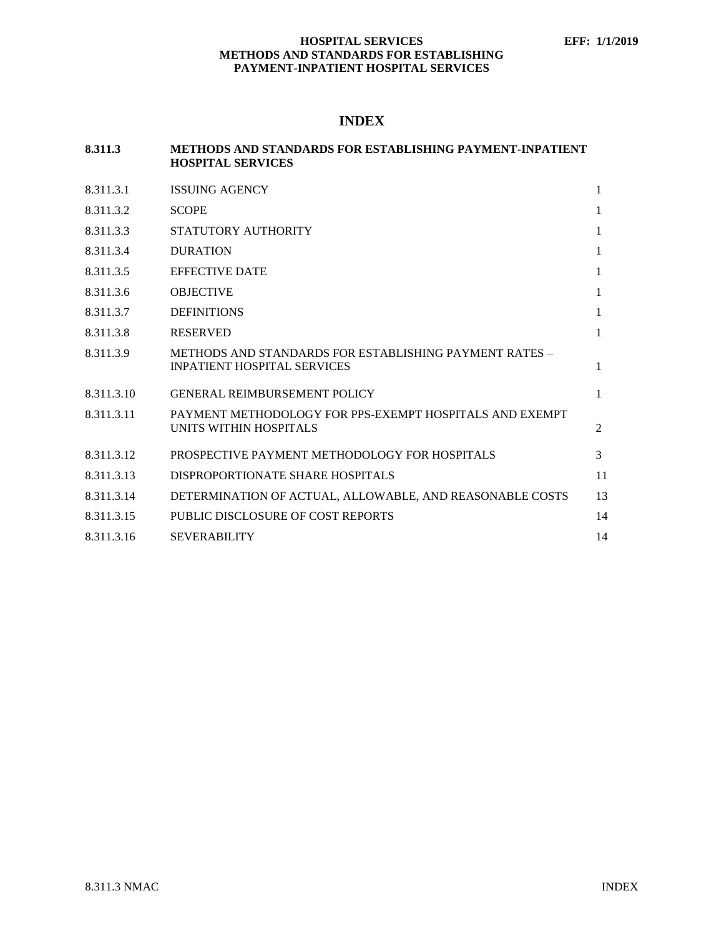# **INDEX**

| 8.311.3    | <b>METHODS AND STANDARDS FOR ESTABLISHING PAYMENT-INPATIENT</b><br><b>HOSPITAL SERVICES</b>  |              |
|------------|----------------------------------------------------------------------------------------------|--------------|
| 8.311.3.1  | <b>ISSUING AGENCY</b>                                                                        | $\mathbf{1}$ |
| 8.311.3.2  | <b>SCOPE</b>                                                                                 | $\mathbf{1}$ |
| 8.311.3.3  | STATUTORY AUTHORITY                                                                          | $\mathbf{1}$ |
| 8.311.3.4  | <b>DURATION</b>                                                                              | $\mathbf{1}$ |
| 8.311.3.5  | <b>EFFECTIVE DATE</b>                                                                        | $\mathbf{1}$ |
| 8.311.3.6  | <b>OBJECTIVE</b>                                                                             | $\mathbf{1}$ |
| 8.311.3.7  | <b>DEFINITIONS</b>                                                                           | $\mathbf{1}$ |
| 8.311.3.8  | <b>RESERVED</b>                                                                              | 1            |
| 8.311.3.9  | METHODS AND STANDARDS FOR ESTABLISHING PAYMENT RATES -<br><b>INPATIENT HOSPITAL SERVICES</b> | $\mathbf{1}$ |
| 8.311.3.10 | <b>GENERAL REIMBURSEMENT POLICY</b>                                                          | $\mathbf{1}$ |
| 8.311.3.11 | PAYMENT METHODOLOGY FOR PPS-EXEMPT HOSPITALS AND EXEMPT<br>UNITS WITHIN HOSPITALS            | 2            |
| 8.311.3.12 | PROSPECTIVE PAYMENT METHODOLOGY FOR HOSPITALS                                                | 3            |
| 8.311.3.13 | DISPROPORTIONATE SHARE HOSPITALS                                                             | 11           |
| 8.311.3.14 | DETERMINATION OF ACTUAL, ALLOWABLE, AND REASONABLE COSTS                                     | 13           |
| 8.311.3.15 | PUBLIC DISCLOSURE OF COST REPORTS                                                            | 14           |
| 8.311.3.16 | <b>SEVERABILITY</b>                                                                          | 14           |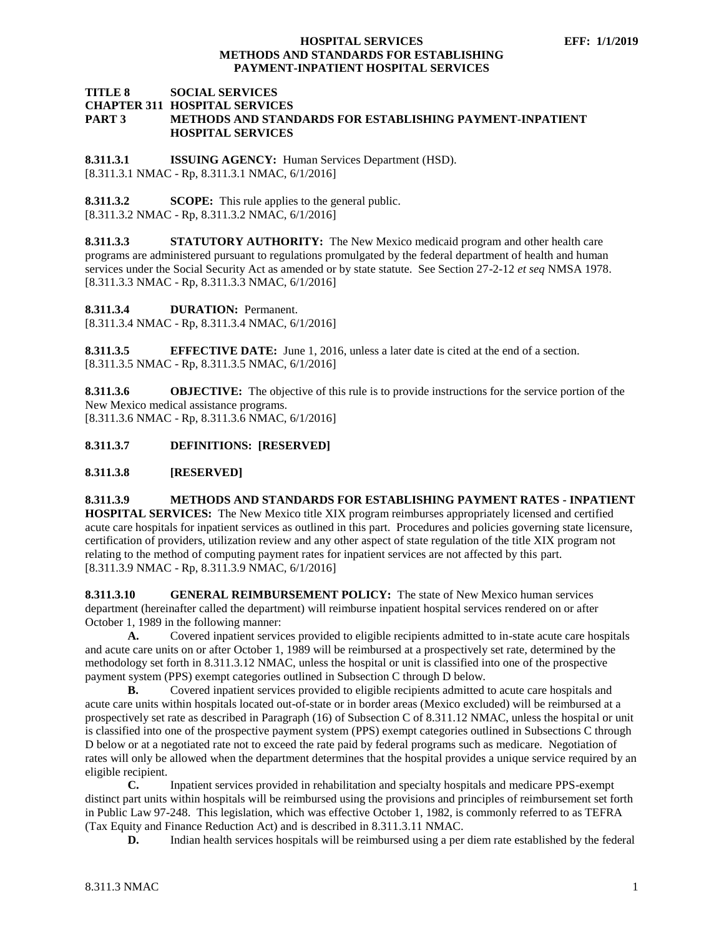### **TITLE 8 SOCIAL SERVICES CHAPTER 311 HOSPITAL SERVICES PART 3 METHODS AND STANDARDS FOR ESTABLISHING PAYMENT-INPATIENT HOSPITAL SERVICES**

<span id="page-1-0"></span>**8.311.3.1 ISSUING AGENCY:** Human Services Department (HSD). [8.311.3.1 NMAC - Rp, 8.311.3.1 NMAC, 6/1/2016]

<span id="page-1-1"></span>**8.311.3.2 SCOPE:** This rule applies to the general public. [8.311.3.2 NMAC - Rp, 8.311.3.2 NMAC, 6/1/2016]

<span id="page-1-2"></span>**8.311.3.3 STATUTORY AUTHORITY:** The New Mexico medicaid program and other health care programs are administered pursuant to regulations promulgated by the federal department of health and human services under the Social Security Act as amended or by state statute. See Section 27-2-12 *et seq* NMSA 1978. [8.311.3.3 NMAC - Rp, 8.311.3.3 NMAC, 6/1/2016]

<span id="page-1-3"></span>**8.311.3.4 DURATION:** Permanent.

[8.311.3.4 NMAC - Rp, 8.311.3.4 NMAC, 6/1/2016]

<span id="page-1-4"></span>**8.311.3.5 EFFECTIVE DATE:** June 1, 2016, unless a later date is cited at the end of a section. [8.311.3.5 NMAC - Rp, 8.311.3.5 NMAC, 6/1/2016]

<span id="page-1-5"></span>**8.311.3.6 OBJECTIVE:** The objective of this rule is to provide instructions for the service portion of the New Mexico medical assistance programs. [8.311.3.6 NMAC - Rp, 8.311.3.6 NMAC, 6/1/2016]

<span id="page-1-6"></span>**8.311.3.7 DEFINITIONS: [RESERVED]**

<span id="page-1-7"></span>**8.311.3.8 [RESERVED]**

<span id="page-1-8"></span>**8.311.3.9 METHODS AND STANDARDS FOR ESTABLISHING PAYMENT RATES - INPATIENT HOSPITAL SERVICES:** The New Mexico title XIX program reimburses appropriately licensed and certified acute care hospitals for inpatient services as outlined in this part. Procedures and policies governing state licensure, certification of providers, utilization review and any other aspect of state regulation of the title XIX program not relating to the method of computing payment rates for inpatient services are not affected by this part. [8.311.3.9 NMAC - Rp, 8.311.3.9 NMAC, 6/1/2016]

<span id="page-1-9"></span>**8.311.3.10 GENERAL REIMBURSEMENT POLICY:** The state of New Mexico human services department (hereinafter called the department) will reimburse inpatient hospital services rendered on or after October 1, 1989 in the following manner:

**A.** Covered inpatient services provided to eligible recipients admitted to in-state acute care hospitals and acute care units on or after October 1, 1989 will be reimbursed at a prospectively set rate, determined by the methodology set forth in 8.311.3.12 NMAC, unless the hospital or unit is classified into one of the prospective payment system (PPS) exempt categories outlined in Subsection C through D below.

**B.** Covered inpatient services provided to eligible recipients admitted to acute care hospitals and acute care units within hospitals located out-of-state or in border areas (Mexico excluded) will be reimbursed at a prospectively set rate as described in Paragraph (16) of Subsection C of 8.311.12 NMAC, unless the hospital or unit is classified into one of the prospective payment system (PPS) exempt categories outlined in Subsections C through D below or at a negotiated rate not to exceed the rate paid by federal programs such as medicare. Negotiation of rates will only be allowed when the department determines that the hospital provides a unique service required by an eligible recipient.

**C.** Inpatient services provided in rehabilitation and specialty hospitals and medicare PPS-exempt distinct part units within hospitals will be reimbursed using the provisions and principles of reimbursement set forth in Public Law 97-248. This legislation, which was effective October 1, 1982, is commonly referred to as TEFRA (Tax Equity and Finance Reduction Act) and is described in 8.311.3.11 NMAC.

**D.** Indian health services hospitals will be reimbursed using a per diem rate established by the federal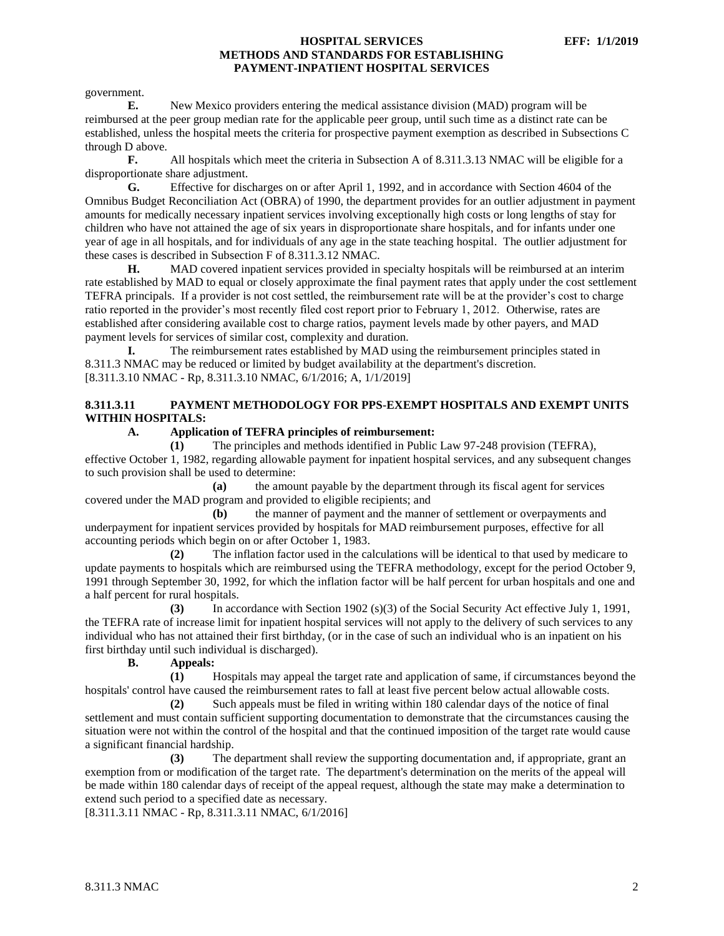government.

**E.** New Mexico providers entering the medical assistance division (MAD) program will be reimbursed at the peer group median rate for the applicable peer group, until such time as a distinct rate can be established, unless the hospital meets the criteria for prospective payment exemption as described in Subsections C through D above.

**F.** All hospitals which meet the criteria in Subsection A of 8.311.3.13 NMAC will be eligible for a disproportionate share adjustment.

**G.** Effective for discharges on or after April 1, 1992, and in accordance with Section 4604 of the Omnibus Budget Reconciliation Act (OBRA) of 1990, the department provides for an outlier adjustment in payment amounts for medically necessary inpatient services involving exceptionally high costs or long lengths of stay for children who have not attained the age of six years in disproportionate share hospitals, and for infants under one year of age in all hospitals, and for individuals of any age in the state teaching hospital. The outlier adjustment for these cases is described in Subsection F of 8.311.3.12 NMAC.

**H.** MAD covered inpatient services provided in specialty hospitals will be reimbursed at an interim rate established by MAD to equal or closely approximate the final payment rates that apply under the cost settlement TEFRA principals. If a provider is not cost settled, the reimbursement rate will be at the provider's cost to charge ratio reported in the provider's most recently filed cost report prior to February 1, 2012. Otherwise, rates are established after considering available cost to charge ratios, payment levels made by other payers, and MAD payment levels for services of similar cost, complexity and duration.

**I.** The reimbursement rates established by MAD using the reimbursement principles stated in 8.311.3 NMAC may be reduced or limited by budget availability at the department's discretion. [8.311.3.10 NMAC - Rp, 8.311.3.10 NMAC, 6/1/2016; A, 1/1/2019]

# <span id="page-2-0"></span>**8.311.3.11 PAYMENT METHODOLOGY FOR PPS-EXEMPT HOSPITALS AND EXEMPT UNITS WITHIN HOSPITALS:**

# **A. Application of TEFRA principles of reimbursement:**

**(1)** The principles and methods identified in Public Law 97-248 provision (TEFRA), effective October 1, 1982, regarding allowable payment for inpatient hospital services, and any subsequent changes to such provision shall be used to determine:

**(a)** the amount payable by the department through its fiscal agent for services covered under the MAD program and provided to eligible recipients; and

**(b)** the manner of payment and the manner of settlement or overpayments and underpayment for inpatient services provided by hospitals for MAD reimbursement purposes, effective for all accounting periods which begin on or after October 1, 1983.

**(2)** The inflation factor used in the calculations will be identical to that used by medicare to update payments to hospitals which are reimbursed using the TEFRA methodology, except for the period October 9, 1991 through September 30, 1992, for which the inflation factor will be half percent for urban hospitals and one and a half percent for rural hospitals.

**(3)** In accordance with Section 1902 (s)(3) of the Social Security Act effective July 1, 1991, the TEFRA rate of increase limit for inpatient hospital services will not apply to the delivery of such services to any individual who has not attained their first birthday, (or in the case of such an individual who is an inpatient on his first birthday until such individual is discharged).

**B. Appeals:**

**(1)** Hospitals may appeal the target rate and application of same, if circumstances beyond the hospitals' control have caused the reimbursement rates to fall at least five percent below actual allowable costs.

**(2)** Such appeals must be filed in writing within 180 calendar days of the notice of final settlement and must contain sufficient supporting documentation to demonstrate that the circumstances causing the situation were not within the control of the hospital and that the continued imposition of the target rate would cause a significant financial hardship.

**(3)** The department shall review the supporting documentation and, if appropriate, grant an exemption from or modification of the target rate. The department's determination on the merits of the appeal will be made within 180 calendar days of receipt of the appeal request, although the state may make a determination to extend such period to a specified date as necessary.

[8.311.3.11 NMAC - Rp, 8.311.3.11 NMAC, 6/1/2016]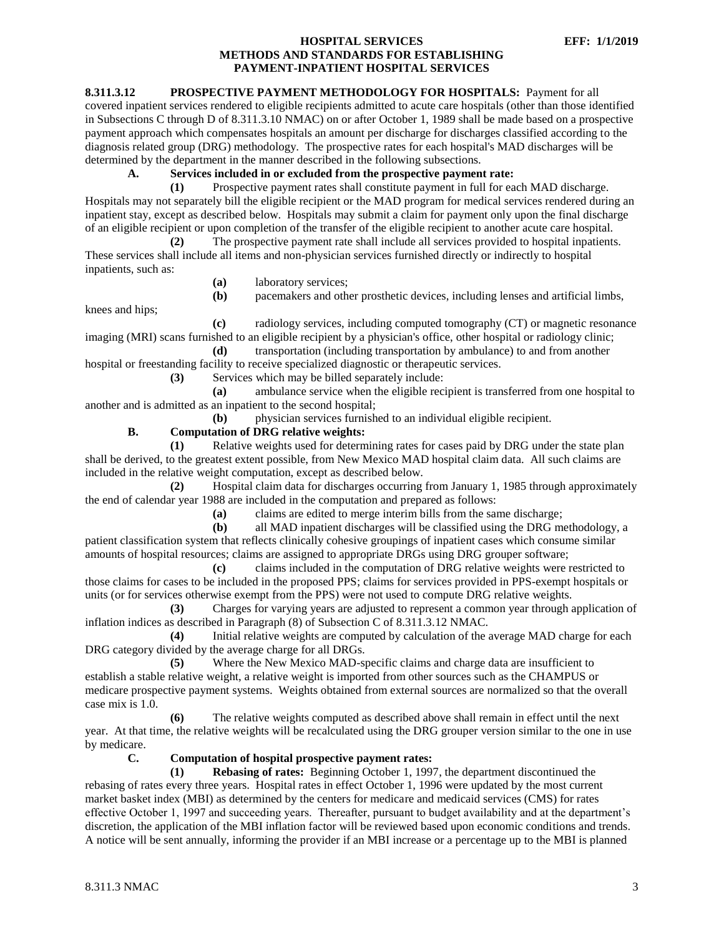# <span id="page-3-0"></span>**8.311.3.12 PROSPECTIVE PAYMENT METHODOLOGY FOR HOSPITALS:** Payment for all

covered inpatient services rendered to eligible recipients admitted to acute care hospitals (other than those identified in Subsections C through D of 8.311.3.10 NMAC) on or after October 1, 1989 shall be made based on a prospective payment approach which compensates hospitals an amount per discharge for discharges classified according to the diagnosis related group (DRG) methodology. The prospective rates for each hospital's MAD discharges will be determined by the department in the manner described in the following subsections.

# **A. Services included in or excluded from the prospective payment rate:**

**(1)** Prospective payment rates shall constitute payment in full for each MAD discharge. Hospitals may not separately bill the eligible recipient or the MAD program for medical services rendered during an inpatient stay, except as described below. Hospitals may submit a claim for payment only upon the final discharge of an eligible recipient or upon completion of the transfer of the eligible recipient to another acute care hospital.

**(2)** The prospective payment rate shall include all services provided to hospital inpatients. These services shall include all items and non-physician services furnished directly or indirectly to hospital inpatients, such as:

- **(a)** laboratory services;
- **(b)** pacemakers and other prosthetic devices, including lenses and artificial limbs,

knees and hips;

**(c)** radiology services, including computed tomography (CT) or magnetic resonance imaging (MRI) scans furnished to an eligible recipient by a physician's office, other hospital or radiology clinic;

**(d)** transportation (including transportation by ambulance) to and from another hospital or freestanding facility to receive specialized diagnostic or therapeutic services.

**(3)** Services which may be billed separately include:

**(a)** ambulance service when the eligible recipient is transferred from one hospital to another and is admitted as an inpatient to the second hospital;

**(b)** physician services furnished to an individual eligible recipient.

# **B. Computation of DRG relative weights:**

**(1)** Relative weights used for determining rates for cases paid by DRG under the state plan shall be derived, to the greatest extent possible, from New Mexico MAD hospital claim data. All such claims are included in the relative weight computation, except as described below.

**(2)** Hospital claim data for discharges occurring from January 1, 1985 through approximately the end of calendar year 1988 are included in the computation and prepared as follows:

**(a)** claims are edited to merge interim bills from the same discharge;

**(b)** all MAD inpatient discharges will be classified using the DRG methodology, a patient classification system that reflects clinically cohesive groupings of inpatient cases which consume similar amounts of hospital resources; claims are assigned to appropriate DRGs using DRG grouper software;

**(c)** claims included in the computation of DRG relative weights were restricted to those claims for cases to be included in the proposed PPS; claims for services provided in PPS-exempt hospitals or units (or for services otherwise exempt from the PPS) were not used to compute DRG relative weights.

**(3)** Charges for varying years are adjusted to represent a common year through application of inflation indices as described in Paragraph (8) of Subsection C of 8.311.3.12 NMAC.

**(4)** Initial relative weights are computed by calculation of the average MAD charge for each DRG category divided by the average charge for all DRGs.

**(5)** Where the New Mexico MAD-specific claims and charge data are insufficient to establish a stable relative weight, a relative weight is imported from other sources such as the CHAMPUS or medicare prospective payment systems. Weights obtained from external sources are normalized so that the overall case mix is 1.0.

**(6)** The relative weights computed as described above shall remain in effect until the next year. At that time, the relative weights will be recalculated using the DRG grouper version similar to the one in use by medicare.

#### **C. Computation of hospital prospective payment rates:**

**(1) Rebasing of rates:** Beginning October 1, 1997, the department discontinued the rebasing of rates every three years. Hospital rates in effect October 1, 1996 were updated by the most current market basket index (MBI) as determined by the centers for medicare and medicaid services (CMS) for rates effective October 1, 1997 and succeeding years. Thereafter, pursuant to budget availability and at the department's discretion, the application of the MBI inflation factor will be reviewed based upon economic conditions and trends. A notice will be sent annually, informing the provider if an MBI increase or a percentage up to the MBI is planned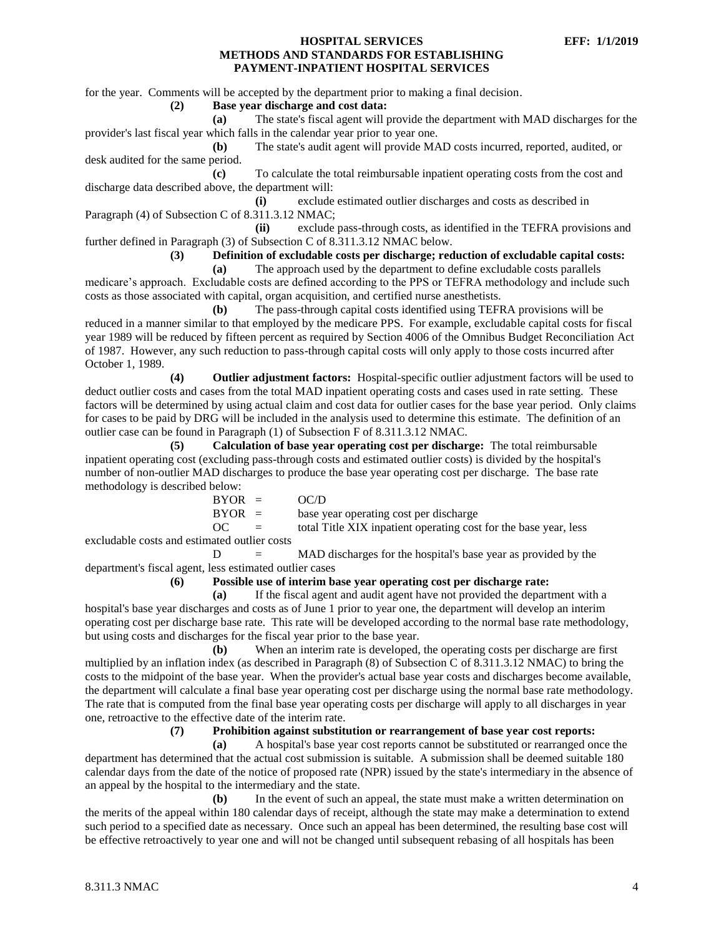for the year. Comments will be accepted by the department prior to making a final decision.

#### **(2) Base year discharge and cost data:**

**(a)** The state's fiscal agent will provide the department with MAD discharges for the provider's last fiscal year which falls in the calendar year prior to year one.

**(b)** The state's audit agent will provide MAD costs incurred, reported, audited, or desk audited for the same period.

**(c)** To calculate the total reimbursable inpatient operating costs from the cost and discharge data described above, the department will:

**(i)** exclude estimated outlier discharges and costs as described in Paragraph (4) of Subsection C of 8.311.3.12 NMAC;

**(ii)** exclude pass-through costs, as identified in the TEFRA provisions and further defined in Paragraph (3) of Subsection C of 8.311.3.12 NMAC below.

**(3) Definition of excludable costs per discharge; reduction of excludable capital costs:**

**(a)** The approach used by the department to define excludable costs parallels medicare's approach. Excludable costs are defined according to the PPS or TEFRA methodology and include such costs as those associated with capital, organ acquisition, and certified nurse anesthetists.

**(b)** The pass-through capital costs identified using TEFRA provisions will be reduced in a manner similar to that employed by the medicare PPS. For example, excludable capital costs for fiscal year 1989 will be reduced by fifteen percent as required by Section 4006 of the Omnibus Budget Reconciliation Act of 1987. However, any such reduction to pass-through capital costs will only apply to those costs incurred after October 1, 1989.

**(4) Outlier adjustment factors:** Hospital-specific outlier adjustment factors will be used to deduct outlier costs and cases from the total MAD inpatient operating costs and cases used in rate setting. These factors will be determined by using actual claim and cost data for outlier cases for the base year period. Only claims for cases to be paid by DRG will be included in the analysis used to determine this estimate. The definition of an outlier case can be found in Paragraph (1) of Subsection F of 8.311.3.12 NMAC.

**(5) Calculation of base year operating cost per discharge:** The total reimbursable inpatient operating cost (excluding pass-through costs and estimated outlier costs) is divided by the hospital's number of non-outlier MAD discharges to produce the base year operating cost per discharge. The base rate methodology is described below:

| $BYOR =$ |                           | OC/D                                                             |
|----------|---------------------------|------------------------------------------------------------------|
| $BYOR =$ |                           | base year operating cost per discharge                           |
| OC.      | $\mathbf{r} = \mathbf{r}$ | total Title XIX inpatient operating cost for the base year, less |
|          | atod outlier costs        |                                                                  |

excludable costs and estimated outlier costs

 $D = MAD$  discharges for the hospital's base year as provided by the department's fiscal agent, less estimated outlier cases

**(6) Possible use of interim base year operating cost per discharge rate:**

**(a)** If the fiscal agent and audit agent have not provided the department with a hospital's base year discharges and costs as of June 1 prior to year one, the department will develop an interim operating cost per discharge base rate. This rate will be developed according to the normal base rate methodology, but using costs and discharges for the fiscal year prior to the base year.

**(b)** When an interim rate is developed, the operating costs per discharge are first multiplied by an inflation index (as described in Paragraph (8) of Subsection C of 8.311.3.12 NMAC) to bring the costs to the midpoint of the base year. When the provider's actual base year costs and discharges become available, the department will calculate a final base year operating cost per discharge using the normal base rate methodology. The rate that is computed from the final base year operating costs per discharge will apply to all discharges in year one, retroactive to the effective date of the interim rate.

#### **(7) Prohibition against substitution or rearrangement of base year cost reports:**

**(a)** A hospital's base year cost reports cannot be substituted or rearranged once the department has determined that the actual cost submission is suitable. A submission shall be deemed suitable 180 calendar days from the date of the notice of proposed rate (NPR) issued by the state's intermediary in the absence of an appeal by the hospital to the intermediary and the state.

**(b)** In the event of such an appeal, the state must make a written determination on the merits of the appeal within 180 calendar days of receipt, although the state may make a determination to extend such period to a specified date as necessary. Once such an appeal has been determined, the resulting base cost will be effective retroactively to year one and will not be changed until subsequent rebasing of all hospitals has been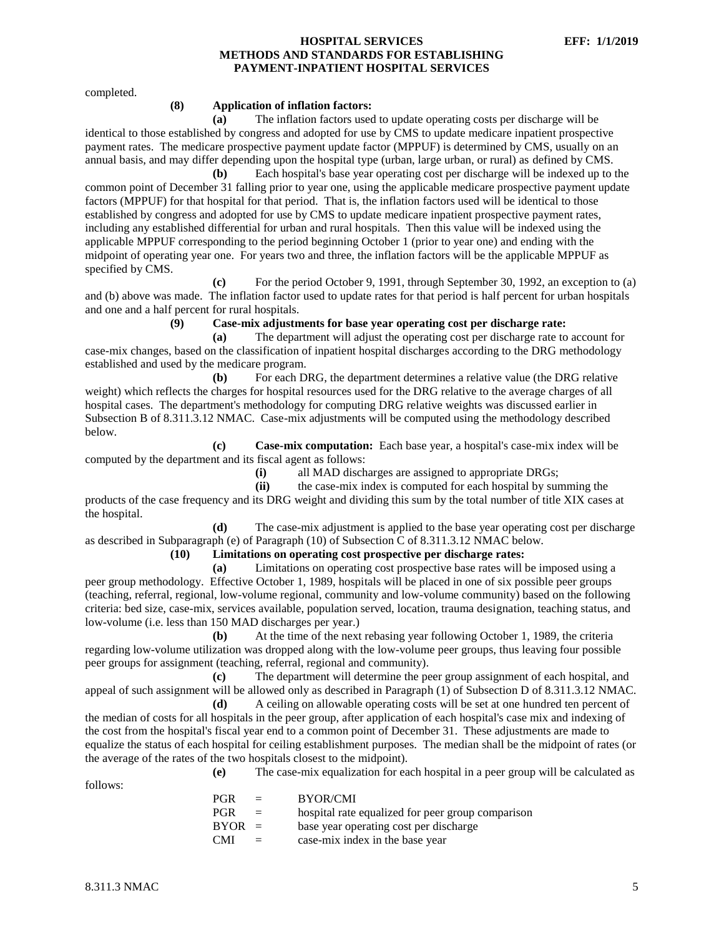completed.

#### **(8) Application of inflation factors:**

**(a)** The inflation factors used to update operating costs per discharge will be identical to those established by congress and adopted for use by CMS to update medicare inpatient prospective payment rates. The medicare prospective payment update factor (MPPUF) is determined by CMS, usually on an annual basis, and may differ depending upon the hospital type (urban, large urban, or rural) as defined by CMS.

**(b)** Each hospital's base year operating cost per discharge will be indexed up to the common point of December 31 falling prior to year one, using the applicable medicare prospective payment update factors (MPPUF) for that hospital for that period. That is, the inflation factors used will be identical to those established by congress and adopted for use by CMS to update medicare inpatient prospective payment rates, including any established differential for urban and rural hospitals. Then this value will be indexed using the applicable MPPUF corresponding to the period beginning October 1 (prior to year one) and ending with the midpoint of operating year one. For years two and three, the inflation factors will be the applicable MPPUF as specified by CMS.

**(c)** For the period October 9, 1991, through September 30, 1992, an exception to (a) and (b) above was made. The inflation factor used to update rates for that period is half percent for urban hospitals and one and a half percent for rural hospitals.

**(9) Case-mix adjustments for base year operating cost per discharge rate:**

**(a)** The department will adjust the operating cost per discharge rate to account for case-mix changes, based on the classification of inpatient hospital discharges according to the DRG methodology established and used by the medicare program.

**(b)** For each DRG, the department determines a relative value (the DRG relative weight) which reflects the charges for hospital resources used for the DRG relative to the average charges of all hospital cases. The department's methodology for computing DRG relative weights was discussed earlier in Subsection B of 8.311.3.12 NMAC. Case-mix adjustments will be computed using the methodology described below.

**(c) Case-mix computation:** Each base year, a hospital's case-mix index will be computed by the department and its fiscal agent as follows:

**(i)** all MAD discharges are assigned to appropriate DRGs;

**(ii)** the case-mix index is computed for each hospital by summing the products of the case frequency and its DRG weight and dividing this sum by the total number of title XIX cases at the hospital.

**(d)** The case-mix adjustment is applied to the base year operating cost per discharge as described in Subparagraph (e) of Paragraph (10) of Subsection C of 8.311.3.12 NMAC below.

#### **(10) Limitations on operating cost prospective per discharge rates:**

**(a)** Limitations on operating cost prospective base rates will be imposed using a peer group methodology. Effective October 1, 1989, hospitals will be placed in one of six possible peer groups (teaching, referral, regional, low-volume regional, community and low-volume community) based on the following criteria: bed size, case-mix, services available, population served, location, trauma designation, teaching status, and low-volume (i.e. less than 150 MAD discharges per year.)

**(b)** At the time of the next rebasing year following October 1, 1989, the criteria regarding low-volume utilization was dropped along with the low-volume peer groups, thus leaving four possible peer groups for assignment (teaching, referral, regional and community).

**(c)** The department will determine the peer group assignment of each hospital, and appeal of such assignment will be allowed only as described in Paragraph (1) of Subsection D of 8.311.3.12 NMAC.

**(d)** A ceiling on allowable operating costs will be set at one hundred ten percent of the median of costs for all hospitals in the peer group, after application of each hospital's case mix and indexing of the cost from the hospital's fiscal year end to a common point of December 31. These adjustments are made to equalize the status of each hospital for ceiling establishment purposes. The median shall be the midpoint of rates (or the average of the rates of the two hospitals closest to the midpoint).

follows:

**(e)** The case-mix equalization for each hospital in a peer group will be calculated as

| <b>PGR</b> | $=$      | <b>BYOR/CMI</b>                                   |
|------------|----------|---------------------------------------------------|
| <b>PGR</b> | $=$      | hospital rate equalized for peer group comparison |
| $BYOR =$   |          | base year operating cost per discharge            |
| <b>CMI</b> | $\equiv$ | case-mix index in the base year                   |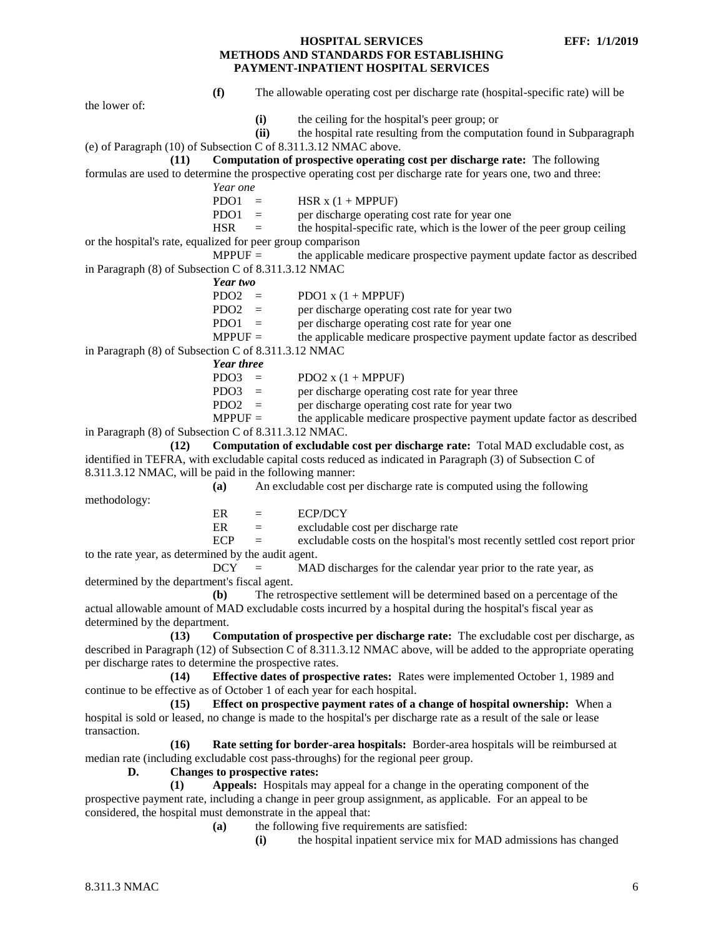**(f)** The allowable operating cost per discharge rate (hospital-specific rate) will be the lower of: **(i)** the ceiling for the hospital's peer group; or **(ii)** the hospital rate resulting from the computation found in Subparagraph (e) of Paragraph (10) of Subsection C of 8.311.3.12 NMAC above. **(11) Computation of prospective operating cost per discharge rate:** The following formulas are used to determine the prospective operating cost per discharge rate for years one, two and three: *Year one*  $PDO1 = HSR x (1 + MPPUF)$ PDO1  $=$  per discharge operating cost rate for year one  $HSR =$  the hospital-specific rate, which is the lower of the peer group ceiling or the hospital's rate, equalized for peer group comparison  $MPPUF =$  the applicable medicare prospective payment update factor as described in Paragraph (8) of Subsection C of 8.311.3.12 NMAC *Year two*  $PDO2 = PDO1 x (1 + MPPUF)$ PDO2 = per discharge operating cost rate for year two PDO1 = per discharge operating cost rate for year one  $MPPUF =$  the applicable medicare prospective payment update factor as described in Paragraph (8) of Subsection C of 8.311.3.12 NMAC *Year three*  $PDO3 = PDO2 \times (1 + MPPUF)$ PDO3 = per discharge operating cost rate for year three PDO2  $=$  per discharge operating cost rate for year two  $MPPUF =$  the applicable medicare prospective payment update factor as described in Paragraph (8) of Subsection C of 8.311.3.12 NMAC. **(12) Computation of excludable cost per discharge rate:** Total MAD excludable cost, as identified in TEFRA, with excludable capital costs reduced as indicated in Paragraph (3) of Subsection C of 8.311.3.12 NMAC, will be paid in the following manner: **(a)** An excludable cost per discharge rate is computed using the following methodology:  $ER = ECP/DCY$ ER = excludable cost per discharge rate  $ECP =$  excludable costs on the hospital's most recently settled cost report prior to the rate year, as determined by the audit agent.  $DCY = MAD$  discharges for the calendar year prior to the rate year, as determined by the department's fiscal agent. **(b)** The retrospective settlement will be determined based on a percentage of the actual allowable amount of MAD excludable costs incurred by a hospital during the hospital's fiscal year as determined by the department. **(13) Computation of prospective per discharge rate:** The excludable cost per discharge, as described in Paragraph (12) of Subsection C of 8.311.3.12 NMAC above, will be added to the appropriate operating per discharge rates to determine the prospective rates. **(14) Effective dates of prospective rates:** Rates were implemented October 1, 1989 and continue to be effective as of October 1 of each year for each hospital. **(15) Effect on prospective payment rates of a change of hospital ownership:** When a hospital is sold or leased, no change is made to the hospital's per discharge rate as a result of the sale or lease transaction. **(16) Rate setting for border-area hospitals:** Border-area hospitals will be reimbursed at median rate (including excludable cost pass-throughs) for the regional peer group. **D. Changes to prospective rates: (1) Appeals:** Hospitals may appeal for a change in the operating component of the prospective payment rate, including a change in peer group assignment, as applicable. For an appeal to be considered, the hospital must demonstrate in the appeal that: **(a)** the following five requirements are satisfied: **(i)** the hospital inpatient service mix for MAD admissions has changed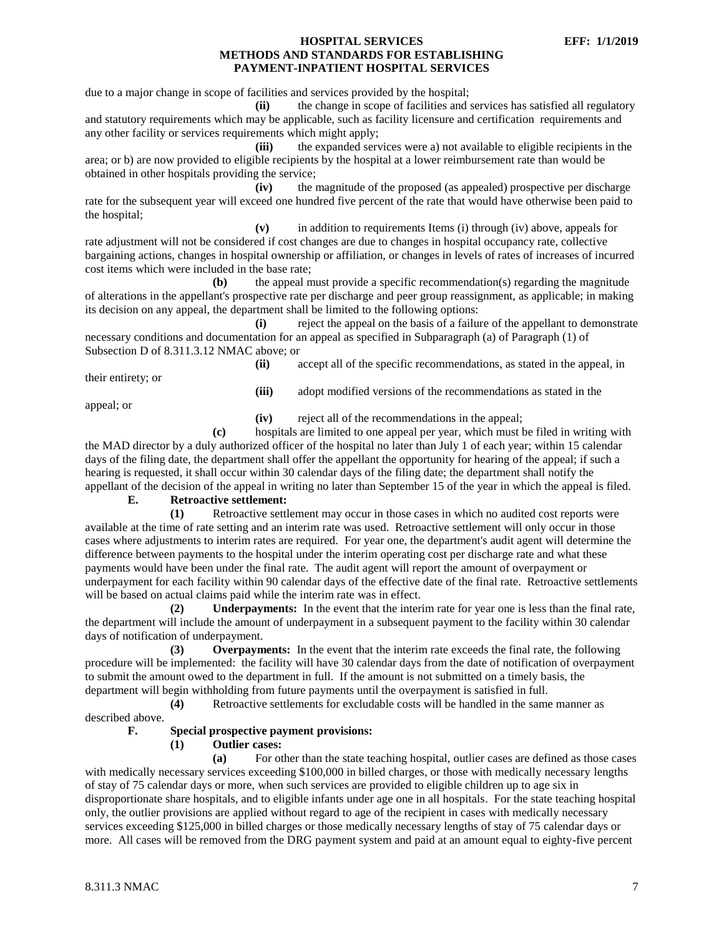due to a major change in scope of facilities and services provided by the hospital;

**(ii)** the change in scope of facilities and services has satisfied all regulatory and statutory requirements which may be applicable, such as facility licensure and certification requirements and any other facility or services requirements which might apply;

**(iii)** the expanded services were a) not available to eligible recipients in the area; or b) are now provided to eligible recipients by the hospital at a lower reimbursement rate than would be obtained in other hospitals providing the service;

**(iv)** the magnitude of the proposed (as appealed) prospective per discharge rate for the subsequent year will exceed one hundred five percent of the rate that would have otherwise been paid to the hospital;

**(v)** in addition to requirements Items (i) through (iv) above, appeals for rate adjustment will not be considered if cost changes are due to changes in hospital occupancy rate, collective bargaining actions, changes in hospital ownership or affiliation, or changes in levels of rates of increases of incurred cost items which were included in the base rate;

**(b)** the appeal must provide a specific recommendation(s) regarding the magnitude of alterations in the appellant's prospective rate per discharge and peer group reassignment, as applicable; in making its decision on any appeal, the department shall be limited to the following options:

**(i)** reject the appeal on the basis of a failure of the appellant to demonstrate necessary conditions and documentation for an appeal as specified in Subparagraph (a) of Paragraph (1) of Subsection D of 8.311.3.12 NMAC above; or

their entirety; or

**(ii)** accept all of the specific recommendations, as stated in the appeal, in

**(iii)** adopt modified versions of the recommendations as stated in the

appeal; or

**(iv)** reject all of the recommendations in the appeal;

**(c)** hospitals are limited to one appeal per year, which must be filed in writing with the MAD director by a duly authorized officer of the hospital no later than July 1 of each year; within 15 calendar days of the filing date, the department shall offer the appellant the opportunity for hearing of the appeal; if such a hearing is requested, it shall occur within 30 calendar days of the filing date; the department shall notify the appellant of the decision of the appeal in writing no later than September 15 of the year in which the appeal is filed.

# **E. Retroactive settlement:**

**(1)** Retroactive settlement may occur in those cases in which no audited cost reports were available at the time of rate setting and an interim rate was used. Retroactive settlement will only occur in those cases where adjustments to interim rates are required. For year one, the department's audit agent will determine the difference between payments to the hospital under the interim operating cost per discharge rate and what these payments would have been under the final rate. The audit agent will report the amount of overpayment or underpayment for each facility within 90 calendar days of the effective date of the final rate. Retroactive settlements will be based on actual claims paid while the interim rate was in effect.

**(2) Underpayments:** In the event that the interim rate for year one is less than the final rate, the department will include the amount of underpayment in a subsequent payment to the facility within 30 calendar days of notification of underpayment.

**(3) Overpayments:** In the event that the interim rate exceeds the final rate, the following procedure will be implemented: the facility will have 30 calendar days from the date of notification of overpayment to submit the amount owed to the department in full. If the amount is not submitted on a timely basis, the department will begin withholding from future payments until the overpayment is satisfied in full.

**(4)** Retroactive settlements for excludable costs will be handled in the same manner as described above.

# **F. Special prospective payment provisions:**

# **(1) Outlier cases:**

**(a)** For other than the state teaching hospital, outlier cases are defined as those cases with medically necessary services exceeding \$100,000 in billed charges, or those with medically necessary lengths of stay of 75 calendar days or more, when such services are provided to eligible children up to age six in disproportionate share hospitals, and to eligible infants under age one in all hospitals. For the state teaching hospital only, the outlier provisions are applied without regard to age of the recipient in cases with medically necessary services exceeding \$125,000 in billed charges or those medically necessary lengths of stay of 75 calendar days or more. All cases will be removed from the DRG payment system and paid at an amount equal to eighty-five percent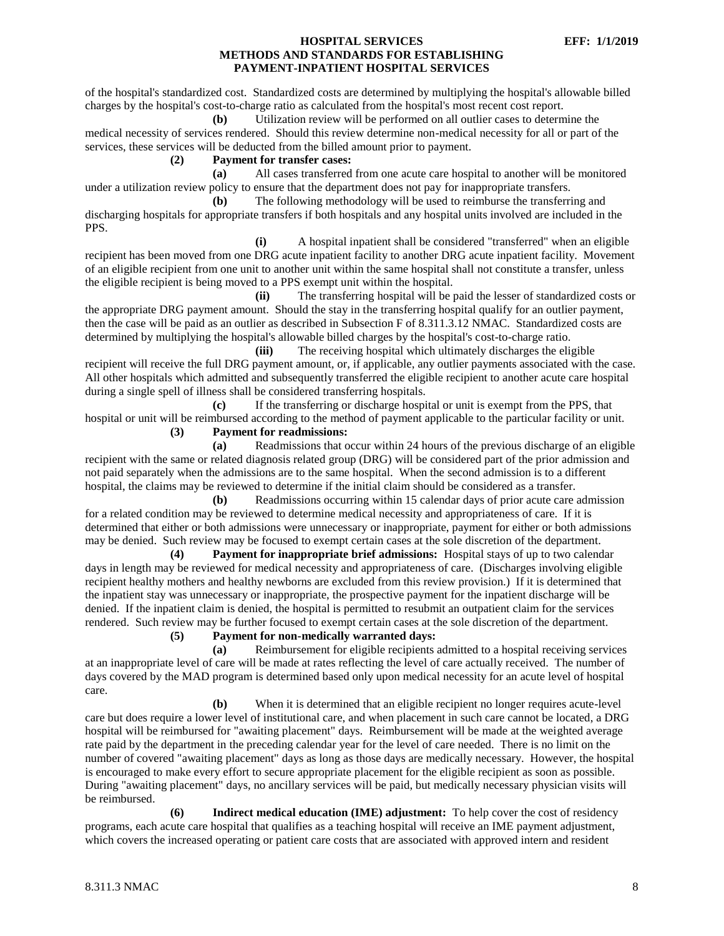of the hospital's standardized cost. Standardized costs are determined by multiplying the hospital's allowable billed charges by the hospital's cost-to-charge ratio as calculated from the hospital's most recent cost report.

**(b)** Utilization review will be performed on all outlier cases to determine the medical necessity of services rendered. Should this review determine non-medical necessity for all or part of the services, these services will be deducted from the billed amount prior to payment.

#### **(2) Payment for transfer cases:**

**(a)** All cases transferred from one acute care hospital to another will be monitored under a utilization review policy to ensure that the department does not pay for inappropriate transfers.

**(b)** The following methodology will be used to reimburse the transferring and discharging hospitals for appropriate transfers if both hospitals and any hospital units involved are included in the PPS.

**(i)** A hospital inpatient shall be considered "transferred" when an eligible recipient has been moved from one DRG acute inpatient facility to another DRG acute inpatient facility. Movement of an eligible recipient from one unit to another unit within the same hospital shall not constitute a transfer, unless the eligible recipient is being moved to a PPS exempt unit within the hospital.

**(ii)** The transferring hospital will be paid the lesser of standardized costs or the appropriate DRG payment amount. Should the stay in the transferring hospital qualify for an outlier payment, then the case will be paid as an outlier as described in Subsection F of 8.311.3.12 NMAC. Standardized costs are determined by multiplying the hospital's allowable billed charges by the hospital's cost-to-charge ratio.

**(iii)** The receiving hospital which ultimately discharges the eligible recipient will receive the full DRG payment amount, or, if applicable, any outlier payments associated with the case. All other hospitals which admitted and subsequently transferred the eligible recipient to another acute care hospital during a single spell of illness shall be considered transferring hospitals.

**(c)** If the transferring or discharge hospital or unit is exempt from the PPS, that hospital or unit will be reimbursed according to the method of payment applicable to the particular facility or unit.

**(3) Payment for readmissions:**

**(a)** Readmissions that occur within 24 hours of the previous discharge of an eligible recipient with the same or related diagnosis related group (DRG) will be considered part of the prior admission and not paid separately when the admissions are to the same hospital. When the second admission is to a different hospital, the claims may be reviewed to determine if the initial claim should be considered as a transfer.

**(b)** Readmissions occurring within 15 calendar days of prior acute care admission for a related condition may be reviewed to determine medical necessity and appropriateness of care. If it is determined that either or both admissions were unnecessary or inappropriate, payment for either or both admissions may be denied. Such review may be focused to exempt certain cases at the sole discretion of the department.

**(4) Payment for inappropriate brief admissions:** Hospital stays of up to two calendar days in length may be reviewed for medical necessity and appropriateness of care. (Discharges involving eligible recipient healthy mothers and healthy newborns are excluded from this review provision.) If it is determined that the inpatient stay was unnecessary or inappropriate, the prospective payment for the inpatient discharge will be denied. If the inpatient claim is denied, the hospital is permitted to resubmit an outpatient claim for the services rendered. Such review may be further focused to exempt certain cases at the sole discretion of the department.

**(5) Payment for non-medically warranted days:**

**(a)** Reimbursement for eligible recipients admitted to a hospital receiving services at an inappropriate level of care will be made at rates reflecting the level of care actually received. The number of days covered by the MAD program is determined based only upon medical necessity for an acute level of hospital care.

**(b)** When it is determined that an eligible recipient no longer requires acute-level care but does require a lower level of institutional care, and when placement in such care cannot be located, a DRG hospital will be reimbursed for "awaiting placement" days. Reimbursement will be made at the weighted average rate paid by the department in the preceding calendar year for the level of care needed. There is no limit on the number of covered "awaiting placement" days as long as those days are medically necessary. However, the hospital is encouraged to make every effort to secure appropriate placement for the eligible recipient as soon as possible. During "awaiting placement" days, no ancillary services will be paid, but medically necessary physician visits will be reimbursed.

**(6) Indirect medical education (IME) adjustment:** To help cover the cost of residency programs, each acute care hospital that qualifies as a teaching hospital will receive an IME payment adjustment, which covers the increased operating or patient care costs that are associated with approved intern and resident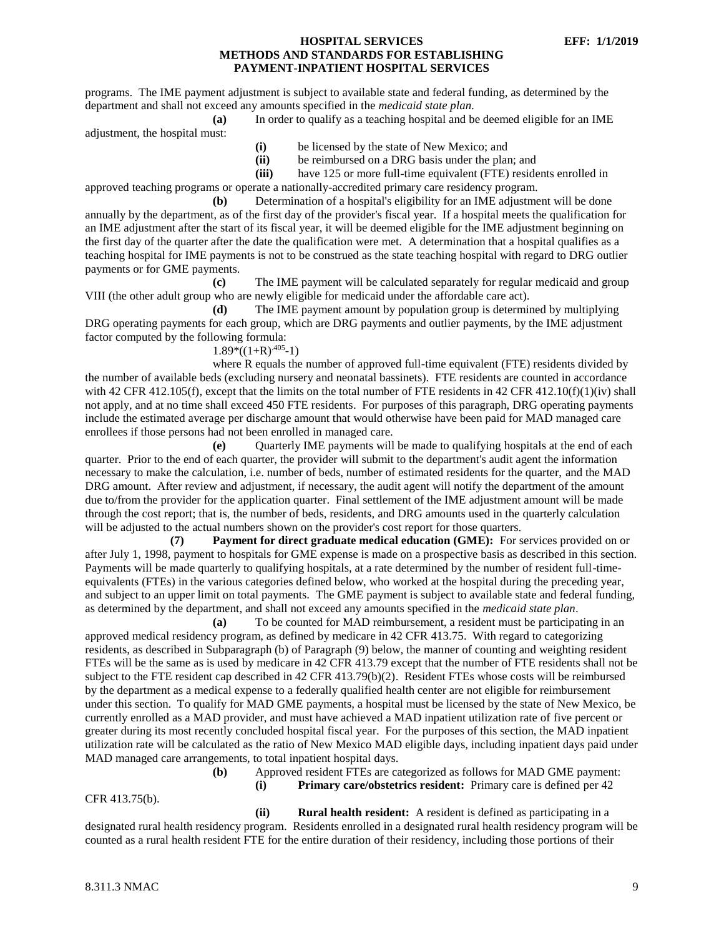programs. The IME payment adjustment is subject to available state and federal funding, as determined by the department and shall not exceed any amounts specified in the *medicaid state plan*.

**(a)** In order to qualify as a teaching hospital and be deemed eligible for an IME

adjustment, the hospital must:

- **(i)** be licensed by the state of New Mexico; and
- **(ii)** be reimbursed on a DRG basis under the plan; and

**(iii)** have 125 or more full-time equivalent (FTE) residents enrolled in approved teaching programs or operate a nationally-accredited primary care residency program.

**(b)** Determination of a hospital's eligibility for an IME adjustment will be done annually by the department, as of the first day of the provider's fiscal year. If a hospital meets the qualification for an IME adjustment after the start of its fiscal year, it will be deemed eligible for the IME adjustment beginning on the first day of the quarter after the date the qualification were met. A determination that a hospital qualifies as a teaching hospital for IME payments is not to be construed as the state teaching hospital with regard to DRG outlier payments or for GME payments.

**(c)** The IME payment will be calculated separately for regular medicaid and group VIII (the other adult group who are newly eligible for medicaid under the affordable care act).

**(d)** The IME payment amount by population group is determined by multiplying DRG operating payments for each group, which are DRG payments and outlier payments, by the IME adjustment factor computed by the following formula:

# $1.89*((1+R)^{0.405}-1)$

where R equals the number of approved full-time equivalent (FTE) residents divided by the number of available beds (excluding nursery and neonatal bassinets). FTE residents are counted in accordance with 42 CFR 412.105(f), except that the limits on the total number of FTE residents in 42 CFR 412.10(f)(1)(iv) shall not apply, and at no time shall exceed 450 FTE residents. For purposes of this paragraph, DRG operating payments include the estimated average per discharge amount that would otherwise have been paid for MAD managed care enrollees if those persons had not been enrolled in managed care.

**(e)** Quarterly IME payments will be made to qualifying hospitals at the end of each quarter. Prior to the end of each quarter, the provider will submit to the department's audit agent the information necessary to make the calculation, i.e. number of beds, number of estimated residents for the quarter, and the MAD DRG amount. After review and adjustment, if necessary, the audit agent will notify the department of the amount due to/from the provider for the application quarter. Final settlement of the IME adjustment amount will be made through the cost report; that is, the number of beds, residents, and DRG amounts used in the quarterly calculation will be adjusted to the actual numbers shown on the provider's cost report for those quarters.

**(7) Payment for direct graduate medical education (GME):** For services provided on or after July 1, 1998, payment to hospitals for GME expense is made on a prospective basis as described in this section. Payments will be made quarterly to qualifying hospitals, at a rate determined by the number of resident full-timeequivalents (FTEs) in the various categories defined below, who worked at the hospital during the preceding year, and subject to an upper limit on total payments. The GME payment is subject to available state and federal funding, as determined by the department, and shall not exceed any amounts specified in the *medicaid state plan*.

**(a)** To be counted for MAD reimbursement, a resident must be participating in an approved medical residency program, as defined by medicare in 42 CFR 413.75. With regard to categorizing residents, as described in Subparagraph (b) of Paragraph (9) below, the manner of counting and weighting resident FTEs will be the same as is used by medicare in 42 CFR 413.79 except that the number of FTE residents shall not be subject to the FTE resident cap described in 42 CFR 413.79(b)(2). Resident FTEs whose costs will be reimbursed by the department as a medical expense to a federally qualified health center are not eligible for reimbursement under this section. To qualify for MAD GME payments, a hospital must be licensed by the state of New Mexico, be currently enrolled as a MAD provider, and must have achieved a MAD inpatient utilization rate of five percent or greater during its most recently concluded hospital fiscal year. For the purposes of this section, the MAD inpatient utilization rate will be calculated as the ratio of New Mexico MAD eligible days, including inpatient days paid under MAD managed care arrangements, to total inpatient hospital days.

**(b)** Approved resident FTEs are categorized as follows for MAD GME payment:

**(i) Primary care/obstetrics resident:** Primary care is defined per 42

**(ii) Rural health resident:** A resident is defined as participating in a designated rural health residency program. Residents enrolled in a designated rural health residency program will be counted as a rural health resident FTE for the entire duration of their residency, including those portions of their

CFR 413.75(b).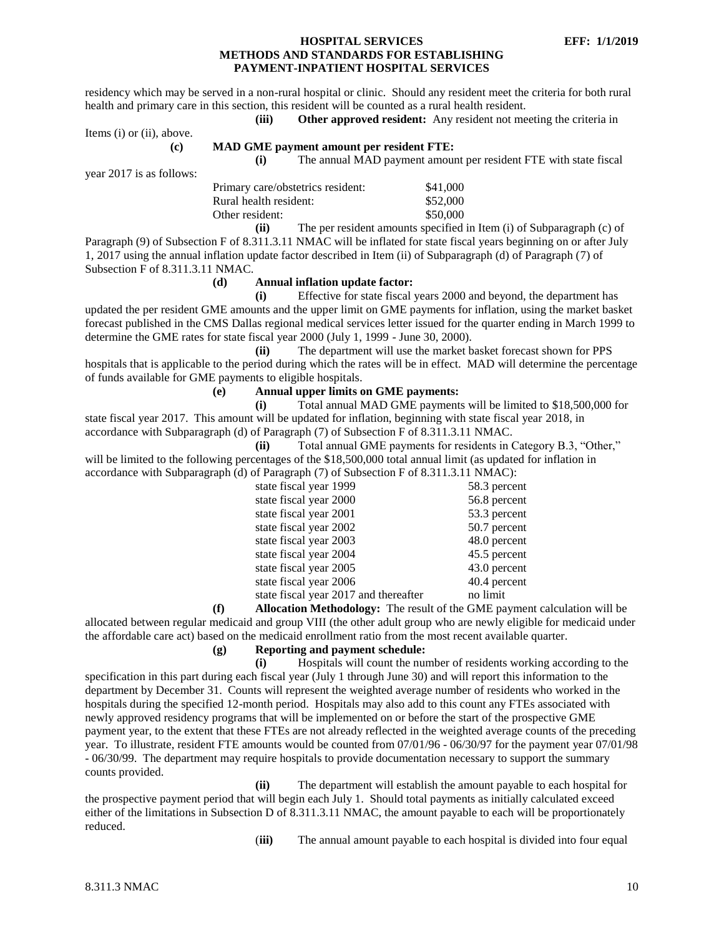residency which may be served in a non-rural hospital or clinic. Should any resident meet the criteria for both rural health and primary care in this section, this resident will be counted as a rural health resident.

**(iii) Other approved resident:** Any resident not meeting the criteria in

Items (i) or (ii), above.

#### **(c) MAD GME payment amount per resident FTE:**

**(i)** The annual MAD payment amount per resident FTE with state fiscal

year 2017 is as follows:

| Primary care/obstetrics resident: | \$41,000 |
|-----------------------------------|----------|
| Rural health resident:            | \$52,000 |
| Other resident:                   | \$50,000 |
|                                   |          |

**(ii)** The per resident amounts specified in Item (i) of Subparagraph (c) of Paragraph (9) of Subsection F of 8.311.3.11 NMAC will be inflated for state fiscal years beginning on or after July 1, 2017 using the annual inflation update factor described in Item (ii) of Subparagraph (d) of Paragraph (7) of Subsection F of 8.311.3.11 NMAC.

#### **(d) Annual inflation update factor:**

**(i)** Effective for state fiscal years 2000 and beyond, the department has updated the per resident GME amounts and the upper limit on GME payments for inflation, using the market basket forecast published in the CMS Dallas regional medical services letter issued for the quarter ending in March 1999 to determine the GME rates for state fiscal year 2000 (July 1, 1999 - June 30, 2000).

**(ii)** The department will use the market basket forecast shown for PPS hospitals that is applicable to the period during which the rates will be in effect. MAD will determine the percentage of funds available for GME payments to eligible hospitals.

### **(e) Annual upper limits on GME payments:**

**(i)** Total annual MAD GME payments will be limited to \$18,500,000 for state fiscal year 2017. This amount will be updated for inflation, beginning with state fiscal year 2018, in accordance with Subparagraph (d) of Paragraph (7) of Subsection F of 8.311.3.11 NMAC.

**(ii)** Total annual GME payments for residents in Category B.3, "Other," will be limited to the following percentages of the \$18,500,000 total annual limit (as updated for inflation in accordance with Subparagraph (d) of Paragraph (7) of Subsection F of 8.311.3.11 NMAC):

| state fiscal year 1999                | 58.3 percent |
|---------------------------------------|--------------|
| state fiscal year 2000                | 56.8 percent |
| state fiscal year 2001                | 53.3 percent |
| state fiscal year 2002                | 50.7 percent |
| state fiscal year 2003                | 48.0 percent |
| state fiscal year 2004                | 45.5 percent |
| state fiscal year 2005                | 43.0 percent |
| state fiscal year 2006                | 40.4 percent |
| state fiscal year 2017 and thereafter | no limit     |
|                                       |              |

**(f) Allocation Methodology:** The result of the GME payment calculation will be allocated between regular medicaid and group VIII (the other adult group who are newly eligible for medicaid under the affordable care act) based on the medicaid enrollment ratio from the most recent available quarter.

# **(g) Reporting and payment schedule:**

**(i)** Hospitals will count the number of residents working according to the specification in this part during each fiscal year (July 1 through June 30) and will report this information to the department by December 31. Counts will represent the weighted average number of residents who worked in the hospitals during the specified 12-month period. Hospitals may also add to this count any FTEs associated with newly approved residency programs that will be implemented on or before the start of the prospective GME payment year, to the extent that these FTEs are not already reflected in the weighted average counts of the preceding year. To illustrate, resident FTE amounts would be counted from 07/01/96 - 06/30/97 for the payment year 07/01/98 - 06/30/99. The department may require hospitals to provide documentation necessary to support the summary counts provided.

**(ii)** The department will establish the amount payable to each hospital for the prospective payment period that will begin each July 1. Should total payments as initially calculated exceed either of the limitations in Subsection D of 8.311.3.11 NMAC, the amount payable to each will be proportionately reduced.

(**iii)** The annual amount payable to each hospital is divided into four equal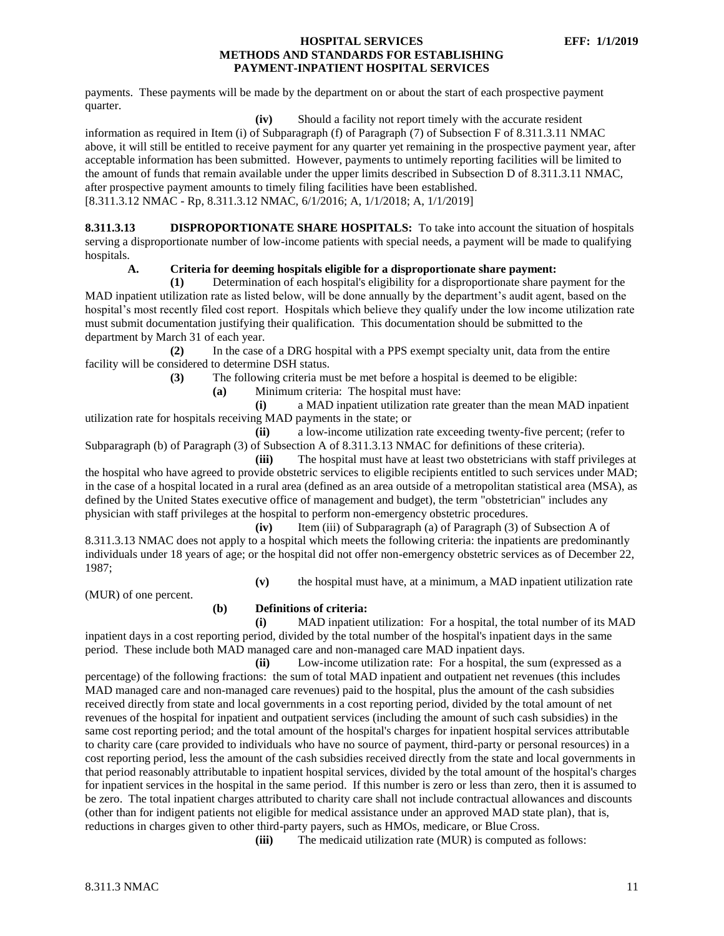payments. These payments will be made by the department on or about the start of each prospective payment quarter.

**(iv)** Should a facility not report timely with the accurate resident

information as required in Item (i) of Subparagraph (f) of Paragraph (7) of Subsection F of 8.311.3.11 NMAC above, it will still be entitled to receive payment for any quarter yet remaining in the prospective payment year, after acceptable information has been submitted. However, payments to untimely reporting facilities will be limited to the amount of funds that remain available under the upper limits described in Subsection D of 8.311.3.11 NMAC, after prospective payment amounts to timely filing facilities have been established.

[8.311.3.12 NMAC - Rp, 8.311.3.12 NMAC, 6/1/2016; A, 1/1/2018; A, 1/1/2019]

<span id="page-11-0"></span>**8.311.3.13 DISPROPORTIONATE SHARE HOSPITALS:** To take into account the situation of hospitals serving a disproportionate number of low-income patients with special needs, a payment will be made to qualifying hospitals.

**A. Criteria for deeming hospitals eligible for a disproportionate share payment:**

**(1)** Determination of each hospital's eligibility for a disproportionate share payment for the MAD inpatient utilization rate as listed below, will be done annually by the department's audit agent, based on the hospital's most recently filed cost report. Hospitals which believe they qualify under the low income utilization rate must submit documentation justifying their qualification. This documentation should be submitted to the department by March 31 of each year.

**(2)** In the case of a DRG hospital with a PPS exempt specialty unit, data from the entire facility will be considered to determine DSH status.

**(3)** The following criteria must be met before a hospital is deemed to be eligible:

**(a)** Minimum criteria: The hospital must have:

**(i)** a MAD inpatient utilization rate greater than the mean MAD inpatient utilization rate for hospitals receiving MAD payments in the state; or

**(ii)** a low-income utilization rate exceeding twenty-five percent; (refer to Subparagraph (b) of Paragraph (3) of Subsection A of 8.311.3.13 NMAC for definitions of these criteria).

**(iii)** The hospital must have at least two obstetricians with staff privileges at the hospital who have agreed to provide obstetric services to eligible recipients entitled to such services under MAD; in the case of a hospital located in a rural area (defined as an area outside of a metropolitan statistical area (MSA), as defined by the United States executive office of management and budget), the term "obstetrician" includes any physician with staff privileges at the hospital to perform non-emergency obstetric procedures.

**(iv)** Item (iii) of Subparagraph (a) of Paragraph (3) of Subsection A of 8.311.3.13 NMAC does not apply to a hospital which meets the following criteria: the inpatients are predominantly individuals under 18 years of age; or the hospital did not offer non-emergency obstetric services as of December 22, 1987;

**(v)** the hospital must have, at a minimum, a MAD inpatient utilization rate

(MUR) of one percent.

# **(b) Definitions of criteria:**

**(i)** MAD inpatient utilization: For a hospital, the total number of its MAD inpatient days in a cost reporting period, divided by the total number of the hospital's inpatient days in the same period. These include both MAD managed care and non-managed care MAD inpatient days.

**(ii)** Low-income utilization rate: For a hospital, the sum (expressed as a percentage) of the following fractions: the sum of total MAD inpatient and outpatient net revenues (this includes MAD managed care and non-managed care revenues) paid to the hospital, plus the amount of the cash subsidies received directly from state and local governments in a cost reporting period, divided by the total amount of net revenues of the hospital for inpatient and outpatient services (including the amount of such cash subsidies) in the same cost reporting period; and the total amount of the hospital's charges for inpatient hospital services attributable to charity care (care provided to individuals who have no source of payment, third-party or personal resources) in a cost reporting period, less the amount of the cash subsidies received directly from the state and local governments in that period reasonably attributable to inpatient hospital services, divided by the total amount of the hospital's charges for inpatient services in the hospital in the same period. If this number is zero or less than zero, then it is assumed to be zero. The total inpatient charges attributed to charity care shall not include contractual allowances and discounts (other than for indigent patients not eligible for medical assistance under an approved MAD state plan), that is, reductions in charges given to other third-party payers, such as HMOs, medicare, or Blue Cross.

**(iii)** The medicaid utilization rate (MUR) is computed as follows: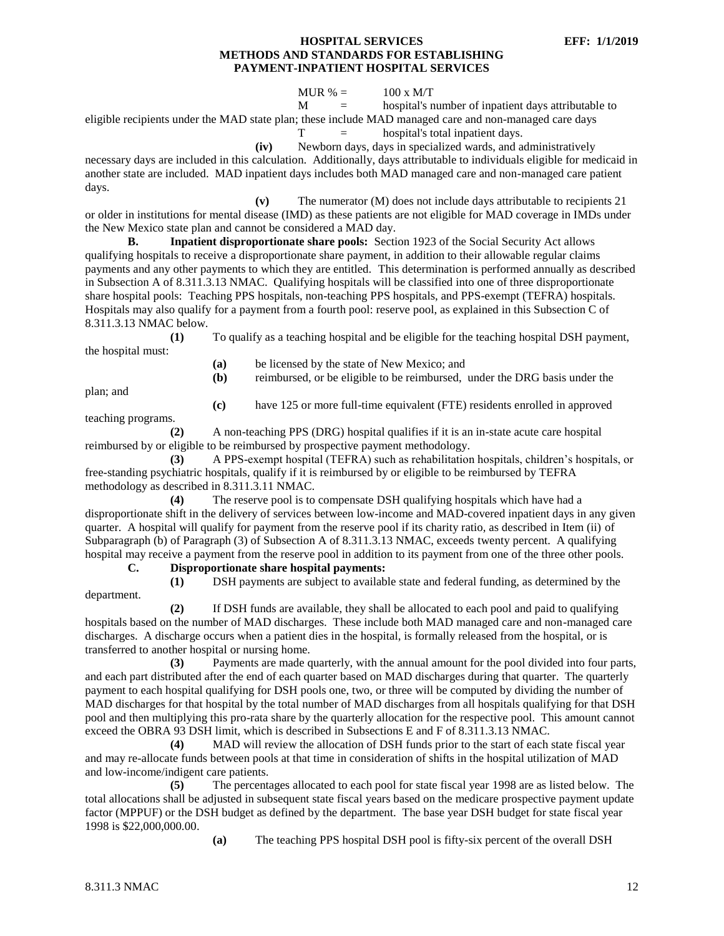#### MUR  $% = 100 x M/T$

 $M =$  hospital's number of inpatient days attributable to eligible recipients under the MAD state plan; these include MAD managed care and non-managed care days

 $T =$  hospital's total inpatient days.

**(iv)** Newborn days, days in specialized wards, and administratively

necessary days are included in this calculation. Additionally, days attributable to individuals eligible for medicaid in another state are included. MAD inpatient days includes both MAD managed care and non-managed care patient days.

**(v)** The numerator (M) does not include days attributable to recipients 21 or older in institutions for mental disease (IMD) as these patients are not eligible for MAD coverage in IMDs under the New Mexico state plan and cannot be considered a MAD day.

**B. Inpatient disproportionate share pools:** Section 1923 of the Social Security Act allows qualifying hospitals to receive a disproportionate share payment, in addition to their allowable regular claims payments and any other payments to which they are entitled. This determination is performed annually as described in Subsection A of 8.311.3.13 NMAC. Qualifying hospitals will be classified into one of three disproportionate share hospital pools: Teaching PPS hospitals, non-teaching PPS hospitals, and PPS-exempt (TEFRA) hospitals. Hospitals may also qualify for a payment from a fourth pool: reserve pool, as explained in this Subsection C of 8.311.3.13 NMAC below.

**(1)** To qualify as a teaching hospital and be eligible for the teaching hospital DSH payment, the hospital must:

**(a)** be licensed by the state of New Mexico; and

**(b)** reimbursed, or be eligible to be reimbursed, under the DRG basis under the

plan; and

**(c)** have 125 or more full-time equivalent (FTE) residents enrolled in approved

teaching programs.

**(2)** A non-teaching PPS (DRG) hospital qualifies if it is an in-state acute care hospital reimbursed by or eligible to be reimbursed by prospective payment methodology.

**(3)** A PPS-exempt hospital (TEFRA) such as rehabilitation hospitals, children's hospitals, or free-standing psychiatric hospitals, qualify if it is reimbursed by or eligible to be reimbursed by TEFRA methodology as described in 8.311.3.11 NMAC.

**(4)** The reserve pool is to compensate DSH qualifying hospitals which have had a disproportionate shift in the delivery of services between low-income and MAD-covered inpatient days in any given quarter. A hospital will qualify for payment from the reserve pool if its charity ratio, as described in Item (ii) of Subparagraph (b) of Paragraph (3) of Subsection A of 8.311.3.13 NMAC, exceeds twenty percent. A qualifying hospital may receive a payment from the reserve pool in addition to its payment from one of the three other pools.

**C. Disproportionate share hospital payments:**

**(1)** DSH payments are subject to available state and federal funding, as determined by the department.

**(2)** If DSH funds are available, they shall be allocated to each pool and paid to qualifying hospitals based on the number of MAD discharges. These include both MAD managed care and non-managed care discharges. A discharge occurs when a patient dies in the hospital, is formally released from the hospital, or is transferred to another hospital or nursing home.

**(3)** Payments are made quarterly, with the annual amount for the pool divided into four parts, and each part distributed after the end of each quarter based on MAD discharges during that quarter. The quarterly payment to each hospital qualifying for DSH pools one, two, or three will be computed by dividing the number of MAD discharges for that hospital by the total number of MAD discharges from all hospitals qualifying for that DSH pool and then multiplying this pro-rata share by the quarterly allocation for the respective pool. This amount cannot exceed the OBRA 93 DSH limit, which is described in Subsections E and F of 8.311.3.13 NMAC.

**(4)** MAD will review the allocation of DSH funds prior to the start of each state fiscal year and may re-allocate funds between pools at that time in consideration of shifts in the hospital utilization of MAD and low-income/indigent care patients.

**(5)** The percentages allocated to each pool for state fiscal year 1998 are as listed below. The total allocations shall be adjusted in subsequent state fiscal years based on the medicare prospective payment update factor (MPPUF) or the DSH budget as defined by the department. The base year DSH budget for state fiscal year 1998 is \$22,000,000.00.

**(a)** The teaching PPS hospital DSH pool is fifty-six percent of the overall DSH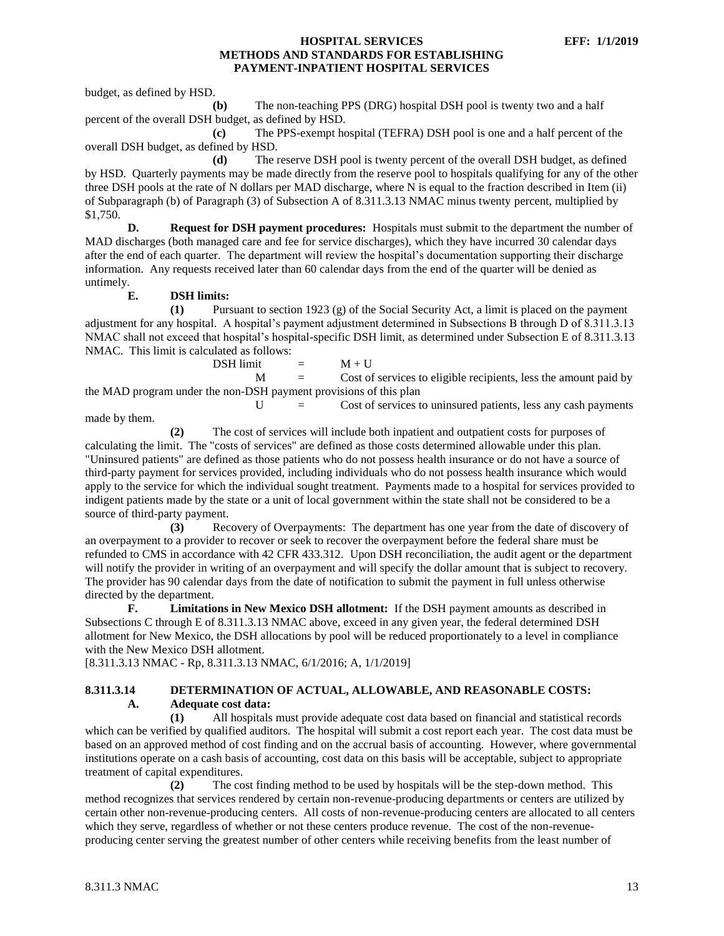budget, as defined by HSD.

**(b)** The non-teaching PPS (DRG) hospital DSH pool is twenty two and a half percent of the overall DSH budget, as defined by HSD.

**(c)** The PPS-exempt hospital (TEFRA) DSH pool is one and a half percent of the overall DSH budget, as defined by HSD.

**(d)** The reserve DSH pool is twenty percent of the overall DSH budget, as defined by HSD. Quarterly payments may be made directly from the reserve pool to hospitals qualifying for any of the other three DSH pools at the rate of N dollars per MAD discharge, where N is equal to the fraction described in Item (ii) of Subparagraph (b) of Paragraph (3) of Subsection A of 8.311.3.13 NMAC minus twenty percent, multiplied by \$1,750.

**D. Request for DSH payment procedures:** Hospitals must submit to the department the number of MAD discharges (both managed care and fee for service discharges), which they have incurred 30 calendar days after the end of each quarter. The department will review the hospital's documentation supporting their discharge information. Any requests received later than 60 calendar days from the end of the quarter will be denied as untimely.

**E. DSH limits:**

**(1)** Pursuant to section 1923 (g) of the Social Security Act, a limit is placed on the payment adjustment for any hospital. A hospital's payment adjustment determined in Subsections B through D of 8.311.3.13 NMAC shall not exceed that hospital's hospital-specific DSH limit, as determined under Subsection E of 8.311.3.13 NMAC. This limit is calculated as follows:

 $DSH$  limit  $=$   $M + U$  $M =$  Cost of services to eligible recipients, less the amount paid by the MAD program under the non-DSH payment provisions of this plan  $U =$  Cost of services to uninsured patients, less any cash payments

made by them.

**(2)** The cost of services will include both inpatient and outpatient costs for purposes of calculating the limit. The "costs of services" are defined as those costs determined allowable under this plan. "Uninsured patients" are defined as those patients who do not possess health insurance or do not have a source of third-party payment for services provided, including individuals who do not possess health insurance which would apply to the service for which the individual sought treatment. Payments made to a hospital for services provided to indigent patients made by the state or a unit of local government within the state shall not be considered to be a source of third-party payment.

**(3)** Recovery of Overpayments: The department has one year from the date of discovery of an overpayment to a provider to recover or seek to recover the overpayment before the federal share must be refunded to CMS in accordance with 42 CFR 433.312. Upon DSH reconciliation, the audit agent or the department will notify the provider in writing of an overpayment and will specify the dollar amount that is subject to recovery. The provider has 90 calendar days from the date of notification to submit the payment in full unless otherwise directed by the department.

**F. Limitations in New Mexico DSH allotment:** If the DSH payment amounts as described in Subsections C through E of 8.311.3.13 NMAC above, exceed in any given year, the federal determined DSH allotment for New Mexico, the DSH allocations by pool will be reduced proportionately to a level in compliance with the New Mexico DSH allotment.

[8.311.3.13 NMAC - Rp, 8.311.3.13 NMAC, 6/1/2016; A, 1/1/2019]

# <span id="page-13-0"></span>**8.311.3.14 DETERMINATION OF ACTUAL, ALLOWABLE, AND REASONABLE COSTS: A. Adequate cost data:**

**(1)** All hospitals must provide adequate cost data based on financial and statistical records which can be verified by qualified auditors. The hospital will submit a cost report each year. The cost data must be based on an approved method of cost finding and on the accrual basis of accounting. However, where governmental institutions operate on a cash basis of accounting, cost data on this basis will be acceptable, subject to appropriate treatment of capital expenditures.

**(2)** The cost finding method to be used by hospitals will be the step-down method. This method recognizes that services rendered by certain non-revenue-producing departments or centers are utilized by certain other non-revenue-producing centers. All costs of non-revenue-producing centers are allocated to all centers which they serve, regardless of whether or not these centers produce revenue. The cost of the non-revenueproducing center serving the greatest number of other centers while receiving benefits from the least number of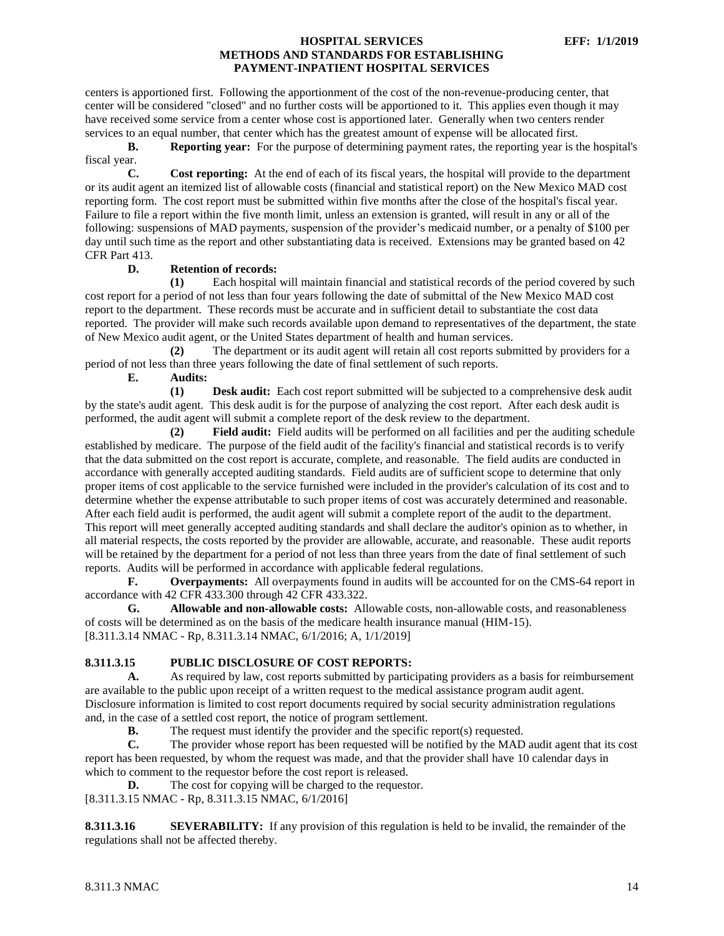centers is apportioned first. Following the apportionment of the cost of the non-revenue-producing center, that center will be considered "closed" and no further costs will be apportioned to it. This applies even though it may have received some service from a center whose cost is apportioned later. Generally when two centers render services to an equal number, that center which has the greatest amount of expense will be allocated first.

**B. Reporting year:** For the purpose of determining payment rates, the reporting year is the hospital's fiscal year.

**C. Cost reporting:** At the end of each of its fiscal years, the hospital will provide to the department or its audit agent an itemized list of allowable costs (financial and statistical report) on the New Mexico MAD cost reporting form. The cost report must be submitted within five months after the close of the hospital's fiscal year. Failure to file a report within the five month limit, unless an extension is granted, will result in any or all of the following: suspensions of MAD payments, suspension of the provider's medicaid number, or a penalty of \$100 per day until such time as the report and other substantiating data is received. Extensions may be granted based on 42 CFR Part 413.

# **D. Retention of records:**

**(1)** Each hospital will maintain financial and statistical records of the period covered by such cost report for a period of not less than four years following the date of submittal of the New Mexico MAD cost report to the department. These records must be accurate and in sufficient detail to substantiate the cost data reported. The provider will make such records available upon demand to representatives of the department, the state of New Mexico audit agent, or the United States department of health and human services.

**(2)** The department or its audit agent will retain all cost reports submitted by providers for a period of not less than three years following the date of final settlement of such reports.

**E. Audits:**

**(1) Desk audit:** Each cost report submitted will be subjected to a comprehensive desk audit by the state's audit agent. This desk audit is for the purpose of analyzing the cost report. After each desk audit is performed, the audit agent will submit a complete report of the desk review to the department.

**(2) Field audit:** Field audits will be performed on all facilities and per the auditing schedule established by medicare. The purpose of the field audit of the facility's financial and statistical records is to verify that the data submitted on the cost report is accurate, complete, and reasonable. The field audits are conducted in accordance with generally accepted auditing standards. Field audits are of sufficient scope to determine that only proper items of cost applicable to the service furnished were included in the provider's calculation of its cost and to determine whether the expense attributable to such proper items of cost was accurately determined and reasonable. After each field audit is performed, the audit agent will submit a complete report of the audit to the department. This report will meet generally accepted auditing standards and shall declare the auditor's opinion as to whether, in all material respects, the costs reported by the provider are allowable, accurate, and reasonable. These audit reports will be retained by the department for a period of not less than three years from the date of final settlement of such reports. Audits will be performed in accordance with applicable federal regulations.

**F. Overpayments:** All overpayments found in audits will be accounted for on the CMS-64 report in accordance with 42 CFR 433.300 through 42 CFR 433.322.

**G. Allowable and non-allowable costs:** Allowable costs, non-allowable costs, and reasonableness of costs will be determined as on the basis of the medicare health insurance manual (HIM-15). [8.311.3.14 NMAC - Rp, 8.311.3.14 NMAC, 6/1/2016; A, 1/1/2019]

# <span id="page-14-0"></span>**8.311.3.15 PUBLIC DISCLOSURE OF COST REPORTS:**

**A.** As required by law, cost reports submitted by participating providers as a basis for reimbursement are available to the public upon receipt of a written request to the medical assistance program audit agent. Disclosure information is limited to cost report documents required by social security administration regulations and, in the case of a settled cost report, the notice of program settlement.

**B.** The request must identify the provider and the specific report(s) requested.

**C.** The provider whose report has been requested will be notified by the MAD audit agent that its cost report has been requested, by whom the request was made, and that the provider shall have 10 calendar days in which to comment to the requestor before the cost report is released.

**D.** The cost for copying will be charged to the requestor. [8.311.3.15 NMAC - Rp, 8.311.3.15 NMAC, 6/1/2016]

<span id="page-14-1"></span>**8.311.3.16 SEVERABILITY:** If any provision of this regulation is held to be invalid, the remainder of the regulations shall not be affected thereby.